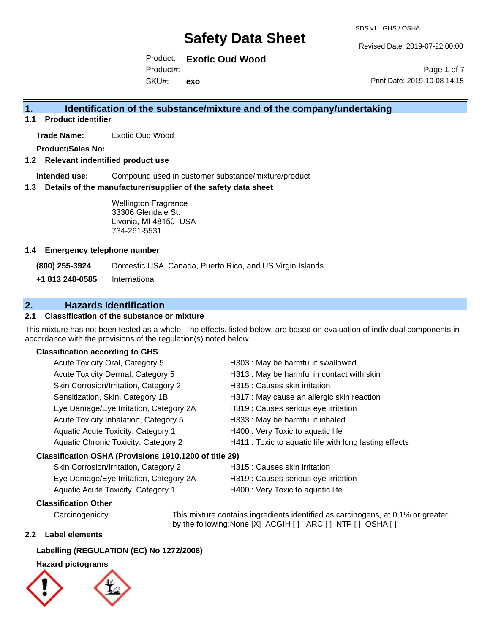Revised Date: 2019-07-22 00:00

Product: **Exotic Oud Wood** SKU#: Product#: **exo**

Page 1 of 7 Print Date: 2019-10-08 14:15

## **1. Identification of the substance/mixture and of the company/undertaking**

**1.1 Product identifier**

**Trade Name:** Exotic Oud Wood

**Product/Sales No:**

## **1.2 Relevant indentified product use**

**Intended use:** Compound used in customer substance/mixture/product

#### **1.3 Details of the manufacturer/supplier of the safety data sheet**

Wellington Fragrance 33306 Glendale St. Livonia, MI 48150 USA 734-261-5531

#### **1.4 Emergency telephone number**

**(800) 255-3924** Domestic USA, Canada, Puerto Rico, and US Virgin Islands

**+1 813 248-0585** International

## **2. Hazards Identification**

## **2.1 Classification of the substance or mixture**

This mixture has not been tested as a whole. The effects, listed below, are based on evaluation of individual components in accordance with the provisions of the regulation(s) noted below.

#### **Classification according to GHS**

| Acute Toxicity Oral, Category 5                        | H303 : May be harmful if swallowed                     |
|--------------------------------------------------------|--------------------------------------------------------|
| Acute Toxicity Dermal, Category 5                      | H313 : May be harmful in contact with skin             |
| Skin Corrosion/Irritation, Category 2                  | H315 : Causes skin irritation                          |
| Sensitization, Skin, Category 1B                       | H317 : May cause an allergic skin reaction             |
| Eye Damage/Eye Irritation, Category 2A                 | H319 : Causes serious eye irritation                   |
| Acute Toxicity Inhalation, Category 5                  | H333: May be harmful if inhaled                        |
| Aquatic Acute Toxicity, Category 1                     | H400 : Very Toxic to aquatic life                      |
| Aquatic Chronic Toxicity, Category 2                   | H411 : Toxic to aquatic life with long lasting effects |
| Classification OSHA (Provisions 1910.1200 of title 29) |                                                        |
|                                                        |                                                        |

# Skin Corrosion/Irritation, Category 2 **H315** : Causes skin irritation

| Eye Damage/Eye Irritation, Category 2A | H319 : Causes serious eye irritation |
|----------------------------------------|--------------------------------------|
| Aquatic Acute Toxicity, Category 1     | H400 : Very Toxic to aquatic life    |

### **Classification Other**

by the following:None [X] ACGIH [] IARC [] NTP [] OSHA []

#### **2.2 Label elements**

### **Labelling (REGULATION (EC) No 1272/2008)**

#### **Hazard pictograms**



Carcinogenicity This mixture contains ingredients identified as carcinogens, at 0.1% or greater,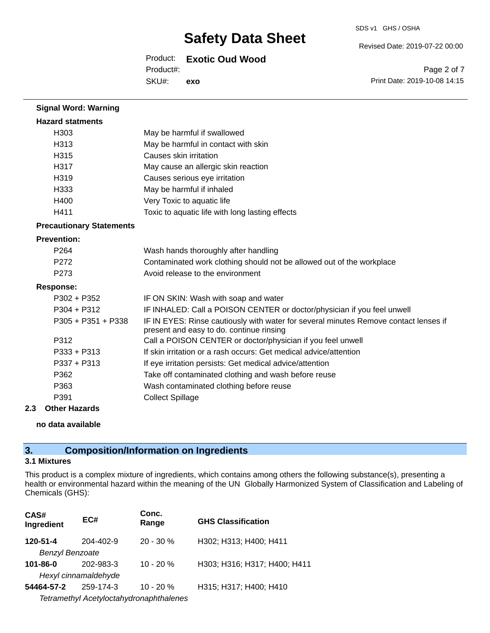SDS v1 GHS / OSHA

Revised Date: 2019-07-22 00:00

# Product: **Exotic Oud Wood**

SKU#: Product#: **exo**

Page 2 of 7 Print Date: 2019-10-08 14:15

| <b>Signal Word: Warning</b>     |                                                                                                                                  |  |
|---------------------------------|----------------------------------------------------------------------------------------------------------------------------------|--|
| <b>Hazard statments</b>         |                                                                                                                                  |  |
| H303                            | May be harmful if swallowed                                                                                                      |  |
| H313                            | May be harmful in contact with skin                                                                                              |  |
| H315                            | Causes skin irritation                                                                                                           |  |
| H317                            | May cause an allergic skin reaction                                                                                              |  |
| H <sub>3</sub> 19               | Causes serious eye irritation                                                                                                    |  |
| H <sub>333</sub>                | May be harmful if inhaled                                                                                                        |  |
| H400                            | Very Toxic to aquatic life                                                                                                       |  |
| H411                            | Toxic to aquatic life with long lasting effects                                                                                  |  |
| <b>Precautionary Statements</b> |                                                                                                                                  |  |
| <b>Prevention:</b>              |                                                                                                                                  |  |
| P <sub>264</sub>                | Wash hands thoroughly after handling                                                                                             |  |
| P <sub>272</sub>                | Contaminated work clothing should not be allowed out of the workplace                                                            |  |
| P <sub>273</sub>                | Avoid release to the environment                                                                                                 |  |
| <b>Response:</b>                |                                                                                                                                  |  |
| P302 + P352                     | IF ON SKIN: Wash with soap and water                                                                                             |  |
| $P304 + P312$                   | IF INHALED: Call a POISON CENTER or doctor/physician if you feel unwell                                                          |  |
| $P305 + P351 + P338$            | IF IN EYES: Rinse cautiously with water for several minutes Remove contact lenses if<br>present and easy to do. continue rinsing |  |
| P312                            | Call a POISON CENTER or doctor/physician if you feel unwell                                                                      |  |
| $P333 + P313$                   | If skin irritation or a rash occurs: Get medical advice/attention                                                                |  |
| P337 + P313                     | If eye irritation persists: Get medical advice/attention                                                                         |  |
| P362                            | Take off contaminated clothing and wash before reuse                                                                             |  |
| P363                            | Wash contaminated clothing before reuse                                                                                          |  |
| P391                            | <b>Collect Spillage</b>                                                                                                          |  |

### **2.3 Other Hazards**

**no data available**

# **3. Composition/Information on Ingredients**

### **3.1 Mixtures**

This product is a complex mixture of ingredients, which contains among others the following substance(s), presenting a health or environmental hazard within the meaning of the UN Globally Harmonized System of Classification and Labeling of Chemicals (GHS):

| CAS#<br>Ingredient     | EC#                                     | Conc.<br>Range | <b>GHS Classification</b>    |
|------------------------|-----------------------------------------|----------------|------------------------------|
| 120-51-4               | 204-402-9                               | $20 - 30 \%$   | H302; H313; H400; H411       |
| <b>Benzyl Benzoate</b> |                                         |                |                              |
| $101 - 86 - 0$         | 202-983-3                               | $10 - 20%$     | H303; H316; H317; H400; H411 |
| Hexyl cinnamaldehyde   |                                         |                |                              |
| 54464-57-2             | 259-174-3                               | $10 - 20 %$    | H315; H317; H400; H410       |
|                        | Tetramethyl Acetyloctahydronaphthalenes |                |                              |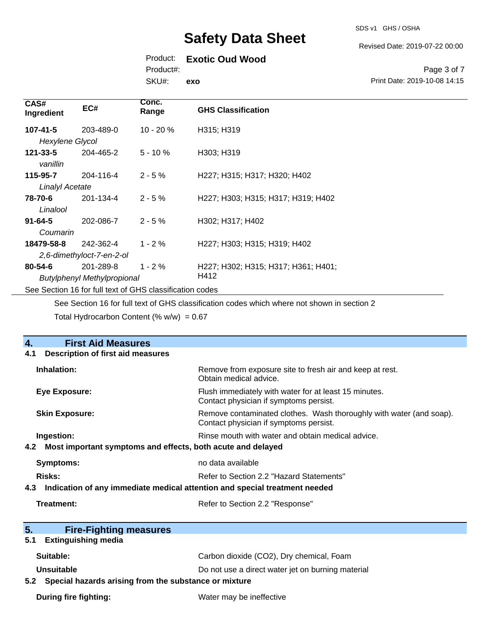#### Revised Date: 2019-07-22 00:00

## Product: **Exotic Oud Wood**

Product#:

SKU#: **exo**

#### Page 3 of 7 Print Date: 2019-10-08 14:15

| CAS#<br>Ingredient                                       | EC#       | Conc.<br>Range | <b>GHS Classification</b>           |
|----------------------------------------------------------|-----------|----------------|-------------------------------------|
| $107 - 41 - 5$                                           | 203-489-0 | $10 - 20%$     | H315; H319                          |
| Hexylene Glycol                                          |           |                |                                     |
| $121 - 33 - 5$<br>vanillin                               | 204-465-2 | $5 - 10%$      | H303; H319                          |
| 115-95-7                                                 | 204-116-4 | $2 - 5%$       | H227; H315; H317; H320; H402        |
| <b>Linalyl Acetate</b>                                   |           |                |                                     |
| 78-70-6                                                  | 201-134-4 | $2 - 5%$       | H227; H303; H315; H317; H319; H402  |
| Linalool                                                 |           |                |                                     |
| $91 - 64 - 5$                                            | 202-086-7 | $2 - 5%$       | H302; H317; H402                    |
| Coumarin                                                 |           |                |                                     |
| 18479-58-8                                               | 242-362-4 | $1 - 2 \%$     | H227; H303; H315; H319; H402        |
| 2,6-dimethyloct-7-en-2-ol                                |           |                |                                     |
| $80 - 54 - 6$                                            | 201-289-8 | $1 - 2%$       | H227; H302; H315; H317; H361; H401; |
| H412<br><b>Butylphenyl Methylpropional</b>               |           |                |                                     |
| See Section 16 for full text of GHS classification codes |           |                |                                     |

See Section 16 for full text of GHS classification codes which where not shown in section 2

Total Hydrocarbon Content (%  $w/w$ ) = 0.67

| $\overline{4}$ .<br><b>First Aid Measures</b>                                     |                                                                                                               |
|-----------------------------------------------------------------------------------|---------------------------------------------------------------------------------------------------------------|
| <b>Description of first aid measures</b><br>4.1                                   |                                                                                                               |
| Inhalation:                                                                       | Remove from exposure site to fresh air and keep at rest.<br>Obtain medical advice.                            |
| <b>Eye Exposure:</b>                                                              | Flush immediately with water for at least 15 minutes.<br>Contact physician if symptoms persist.               |
| <b>Skin Exposure:</b>                                                             | Remove contaminated clothes. Wash thoroughly with water (and soap).<br>Contact physician if symptoms persist. |
| Ingestion:                                                                        | Rinse mouth with water and obtain medical advice.                                                             |
| Most important symptoms and effects, both acute and delayed<br>4.2                |                                                                                                               |
| <b>Symptoms:</b>                                                                  | no data available                                                                                             |
| <b>Risks:</b>                                                                     | Refer to Section 2.2 "Hazard Statements"                                                                      |
| Indication of any immediate medical attention and special treatment needed<br>4.3 |                                                                                                               |
| Treatment:                                                                        | Refer to Section 2.2 "Response"                                                                               |
|                                                                                   |                                                                                                               |
| 5.<br><b>Fire-Fighting measures</b>                                               |                                                                                                               |
| <b>Extinguishing media</b><br>5.1                                                 |                                                                                                               |
| Suitable:                                                                         | Carbon dioxide (CO2), Dry chemical, Foam                                                                      |
| Unsuitable                                                                        | Do not use a direct water jet on burning material                                                             |
| Special hazards arising from the substance or mixture<br>5.2                      |                                                                                                               |
| <b>During fire fighting:</b>                                                      | Water may be ineffective                                                                                      |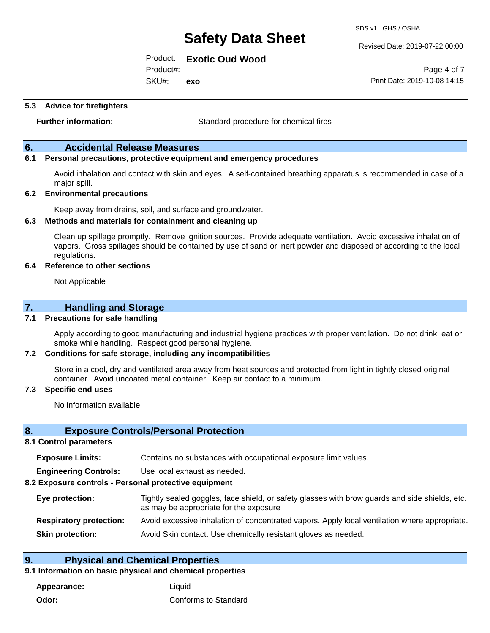SDS v1 GHS / OSHA

Revised Date: 2019-07-22 00:00

Product: **Exotic Oud Wood**

Product#:

SKU#: **exo**

**5.3 Advice for firefighters**

**Further information:** Standard procedure for chemical fires

## **6. Accidental Release Measures**

## **6.1 Personal precautions, protective equipment and emergency procedures**

Avoid inhalation and contact with skin and eyes. A self-contained breathing apparatus is recommended in case of a major spill.

#### **6.2 Environmental precautions**

Keep away from drains, soil, and surface and groundwater.

#### **6.3 Methods and materials for containment and cleaning up**

Clean up spillage promptly. Remove ignition sources. Provide adequate ventilation. Avoid excessive inhalation of vapors. Gross spillages should be contained by use of sand or inert powder and disposed of according to the local regulations.

#### **6.4 Reference to other sections**

Not Applicable

## **7. Handling and Storage**

### **7.1 Precautions for safe handling**

Apply according to good manufacturing and industrial hygiene practices with proper ventilation. Do not drink, eat or smoke while handling. Respect good personal hygiene.

#### **7.2 Conditions for safe storage, including any incompatibilities**

Store in a cool, dry and ventilated area away from heat sources and protected from light in tightly closed original container. Avoid uncoated metal container. Keep air contact to a minimum.

#### **7.3 Specific end uses**

No information available

#### **8. Exposure Controls/Personal Protection**

#### **8.1 Control parameters**

| <b>Exposure Limits:</b> | Contains no substances with occupational exposure limit values. |  |  |  |  |
|-------------------------|-----------------------------------------------------------------|--|--|--|--|
|-------------------------|-----------------------------------------------------------------|--|--|--|--|

**Engineering Controls:** Use local exhaust as needed.

#### **8.2 Exposure controls - Personal protective equipment**

| Eye protection:                | Tightly sealed goggles, face shield, or safety glasses with brow guards and side shields, etc.<br>as may be appropriate for the exposure |
|--------------------------------|------------------------------------------------------------------------------------------------------------------------------------------|
| <b>Respiratory protection:</b> | Avoid excessive inhalation of concentrated vapors. Apply local ventilation where appropriate.                                            |
| <b>Skin protection:</b>        | Avoid Skin contact. Use chemically resistant gloves as needed.                                                                           |

## **9. Physical and Chemical Properties**

## **9.1 Information on basic physical and chemical properties**

**Appearance:** Liquid **Odor:** Conforms to Standard

Page 4 of 7 Print Date: 2019-10-08 14:15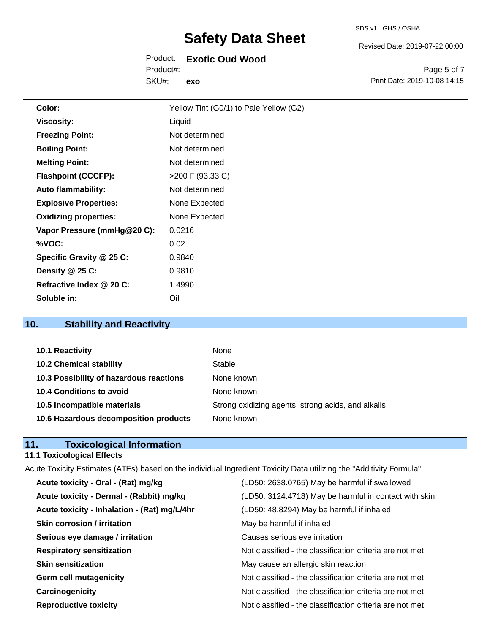#### SDS v1 GHS / OSHA

# **Safety Data Sheet**

# Product: **Exotic Oud Wood**

SKU#: Product#: **exo** Page 5 of 7

Revised Date: 2019-07-22 00:00

Print Date: 2019-10-08 14:15

| Color:                       | Yellow Tint (G0/1) to Pale Yellow (G2) |
|------------------------------|----------------------------------------|
| <b>Viscosity:</b>            | Liquid                                 |
| <b>Freezing Point:</b>       | Not determined                         |
| <b>Boiling Point:</b>        | Not determined                         |
| <b>Melting Point:</b>        | Not determined                         |
| <b>Flashpoint (CCCFP):</b>   | >200 F (93.33 C)                       |
| <b>Auto flammability:</b>    | Not determined                         |
| <b>Explosive Properties:</b> | None Expected                          |
| <b>Oxidizing properties:</b> | None Expected                          |
| Vapor Pressure (mmHg@20 C):  | 0.0216                                 |
| %VOC:                        | 0.02                                   |
| Specific Gravity @ 25 C:     | 0.9840                                 |
| Density @ 25 C:              | 0.9810                                 |
| Refractive Index @ 20 C:     | 1.4990                                 |
| Soluble in:                  | Oil                                    |

# **10. Stability and Reactivity**

| 10.1 Reactivity                         | None                                               |
|-----------------------------------------|----------------------------------------------------|
| <b>10.2 Chemical stability</b>          | Stable                                             |
| 10.3 Possibility of hazardous reactions | None known                                         |
| 10.4 Conditions to avoid                | None known                                         |
| 10.5 Incompatible materials             | Strong oxidizing agents, strong acids, and alkalis |
| 10.6 Hazardous decomposition products   | None known                                         |

# **11. Toxicological Information**

# **11.1 Toxicological Effects**

| Acute Toxicity Estimates (ATEs) based on the individual Ingredient Toxicity Data utilizing the "Additivity Formula" |                                                          |
|---------------------------------------------------------------------------------------------------------------------|----------------------------------------------------------|
| Acute toxicity - Oral - (Rat) mg/kg                                                                                 | (LD50: 2638.0765) May be harmful if swallowed            |
| Acute toxicity - Dermal - (Rabbit) mg/kg                                                                            | (LD50: 3124.4718) May be harmful in contact with skin    |
| Acute toxicity - Inhalation - (Rat) mg/L/4hr                                                                        | (LD50: 48.8294) May be harmful if inhaled                |
| <b>Skin corrosion / irritation</b>                                                                                  | May be harmful if inhaled                                |
| Serious eye damage / irritation                                                                                     | Causes serious eye irritation                            |
| <b>Respiratory sensitization</b>                                                                                    | Not classified - the classification criteria are not met |
| <b>Skin sensitization</b>                                                                                           | May cause an allergic skin reaction                      |
| <b>Germ cell mutagenicity</b>                                                                                       | Not classified - the classification criteria are not met |
| Carcinogenicity                                                                                                     | Not classified - the classification criteria are not met |
| <b>Reproductive toxicity</b>                                                                                        | Not classified - the classification criteria are not met |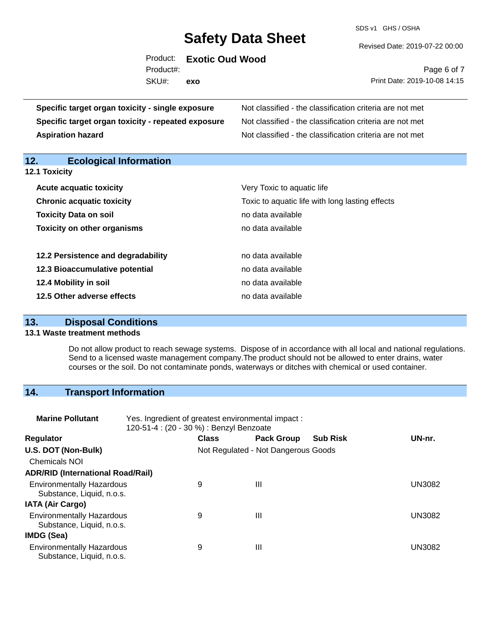SDS v1 GHS / OSHA

Revised Date: 2019-07-22 00:00

|           | Product: Exotic Oud Wood |
|-----------|--------------------------|
| Product#: |                          |
| SKU#:     | exo                      |

Page 6 of 7 Print Date: 2019-10-08 14:15

| Specific target organ toxicity - single exposure   | Not classified - the classification criteria are not met |  |  |  |
|----------------------------------------------------|----------------------------------------------------------|--|--|--|
| Specific target organ toxicity - repeated exposure | Not classified - the classification criteria are not met |  |  |  |
| <b>Aspiration hazard</b>                           | Not classified - the classification criteria are not met |  |  |  |
| 12.<br><b>Ecological Information</b>               |                                                          |  |  |  |
| 12.1 Toxicity                                      |                                                          |  |  |  |
| <b>Acute acquatic toxicity</b>                     | Very Toxic to aquatic life                               |  |  |  |
| <b>Chronic acquatic toxicity</b>                   | Toxic to aquatic life with long lasting effects          |  |  |  |
| <b>Toxicity Data on soil</b>                       | no data available                                        |  |  |  |
| <b>Toxicity on other organisms</b>                 | no data available                                        |  |  |  |
| 12.2 Persistence and degradability                 | no data available                                        |  |  |  |
| 12.3 Bioaccumulative potential                     | no data available                                        |  |  |  |
| 12.4 Mobility in soil                              | no data available                                        |  |  |  |
| 12.5 Other adverse effects                         | no data available                                        |  |  |  |

# **13. Disposal Conditions**

#### **13.1 Waste treatment methods**

Do not allow product to reach sewage systems. Dispose of in accordance with all local and national regulations. Send to a licensed waste management company.The product should not be allowed to enter drains, water courses or the soil. Do not contaminate ponds, waterways or ditches with chemical or used container.

# **14. Transport Information**

| <b>Marine Pollutant</b>                                       | Yes. Ingredient of greatest environmental impact:<br>120-51-4 : (20 - 30 %) : Benzyl Benzoate |              |                                     |                 |               |
|---------------------------------------------------------------|-----------------------------------------------------------------------------------------------|--------------|-------------------------------------|-----------------|---------------|
| <b>Regulator</b>                                              |                                                                                               | <b>Class</b> | <b>Pack Group</b>                   | <b>Sub Risk</b> | UN-nr.        |
| U.S. DOT (Non-Bulk)                                           |                                                                                               |              | Not Regulated - Not Dangerous Goods |                 |               |
| <b>Chemicals NOI</b>                                          |                                                                                               |              |                                     |                 |               |
| <b>ADR/RID (International Road/Rail)</b>                      |                                                                                               |              |                                     |                 |               |
| <b>Environmentally Hazardous</b><br>Substance, Liquid, n.o.s. |                                                                                               | 9            | Ш                                   |                 | <b>UN3082</b> |
| <b>IATA (Air Cargo)</b>                                       |                                                                                               |              |                                     |                 |               |
| <b>Environmentally Hazardous</b><br>Substance, Liquid, n.o.s. |                                                                                               | 9            | Ш                                   |                 | <b>UN3082</b> |
| IMDG (Sea)                                                    |                                                                                               |              |                                     |                 |               |
| <b>Environmentally Hazardous</b><br>Substance, Liquid, n.o.s. |                                                                                               | 9            | Ш                                   |                 | <b>UN3082</b> |